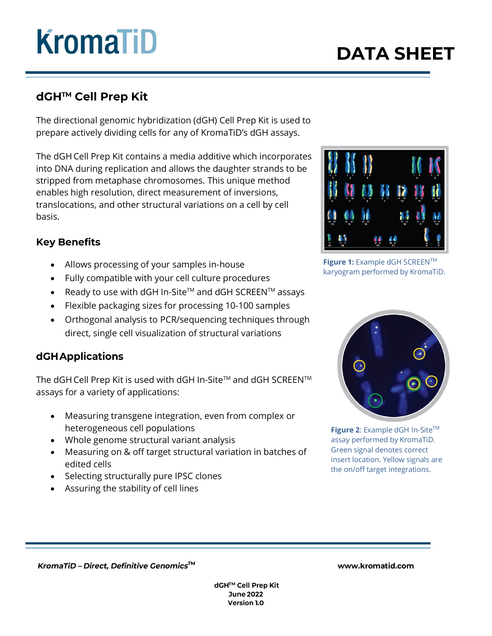## **KromaTiD**

### **DATA SHEET**

### dGH™ Cell Prep Kit

 The directional genomic hybridization (dGH) Cell Prep Kit is used to prepare actively dividing cells for any of KromaTiD's dGH assays.

The dGH Cell Prep Kit contains a media additive which incorporates into DNA during replication and allows the daughter strands to be stripped from metaphase chromosomes. This unique method enables high resolution, direct measurement of inversions, translocations, and other structural variations on a cell by cell basis.

### **Key Benefits**

- Allows processing of your samples in-house
- Fully compatible with your cell culture procedures
- Ready to use with dGH In-Site<sup>TM</sup> and dGH SCREEN<sup>TM</sup> assays
- Flexible packaging sizes for processing 10-100 samples
- Orthogonal analysis to PCR/sequencing techniques through direct, single cell visualization of structural variations

### **dGH Applications**

The dGH Cell Prep Kit is used with dGH In-Site™ and dGH SCREEN™ assays for a variety of applications:

- Measuring transgene integration, even from complex or heterogeneous cell populations
- Whole genome structural variant analysis
- Measuring on & off target structural variation in batches of edited cells
- Selecting structurally pure IPSC clones
- Assuring the stability of cell lines



**Figure 1:** Example dGH SCREENTM karyogram performed by KromaTiD.



**Figure 2:** Example dGH In-Site™ assay performed by KromaTiD. Green signal denotes correct insert location. Yellow signals are the on/off target integrations.

KromaTiD - Direct, Definitive Genomics™

www.kromatid.com